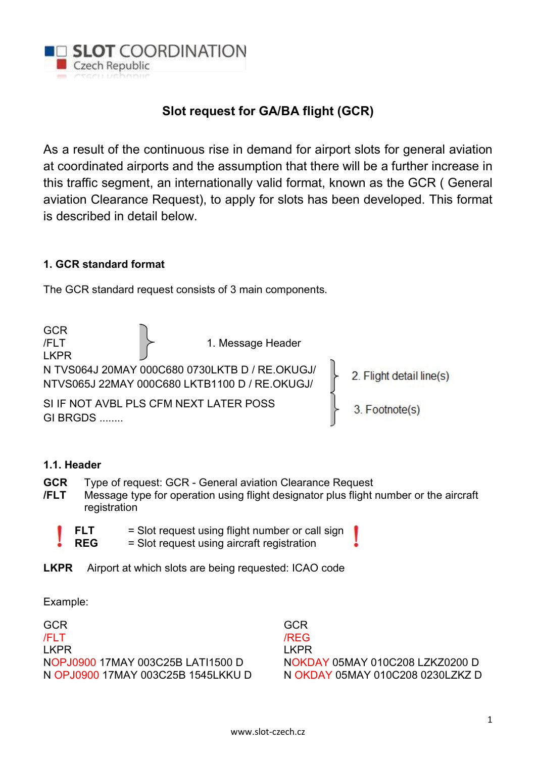

# Slot request for GA/BA flight (GCR)

As a result of the continuous rise in demand for airport slots for general aviation at coordinated airports and the assumption that there will be a further increase in this traffic segment, an internationally valid format, known as the GCR ( General aviation Clearance Request), to apply for slots has been developed. This format is described in detail below.

## 1. GCR standard format

The GCR standard request consists of 3 main components.

GCR  $/$ FLT  $/$  1. Message Header LKPR N TVS064J 20MAY 000C680 0730LKTB D / RE.OKUGJ/ 2. Flight detail line(s) NTVS065J 22MAY 000C680 LKTB1100 D / RE.OKUGJ/ SI IF NOT AVBL PLS CFM NEXT LATER POSS 3. Footnote(s) GI BRGDS ........

## 1.1. Header

- GCR Type of request: GCR General aviation Clearance Request
- /FLT Message type for operation using flight designator plus flight number or the aircraft registration
	- $FLT =$  Slot request using flight number or call sign REG = Slot request using aircraft registration
- LKPR Airport at which slots are being requested: ICAO code

Example:

**GCR** /FLT LKPR NOPJ0900 17MAY 003C25B LATI1500 D N OPJ0900 17MAY 003C25B 1545LKKU D

**GCR** /REG LKPR NOKDAY 05MAY 010C208 LZKZ0200 D N OKDAY 05MAY 010C208 0230LZKZ D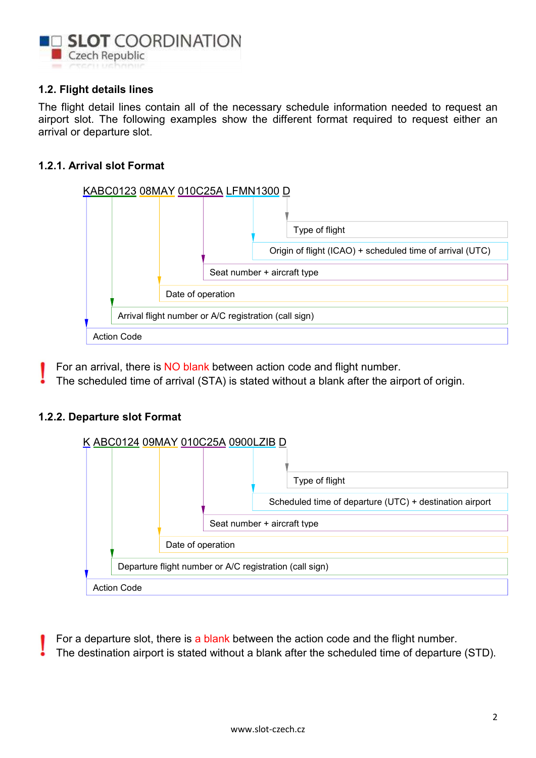

## 1.2. Flight details lines

The flight detail lines contain all of the necessary schedule information needed to request an airport slot. The following examples show the different format required to request either an arrival or departure slot.

## 1.2.1. Arrival slot Format



- For an arrival, there is NO blank between action code and flight number.
- The scheduled time of arrival (STA) is stated without a blank after the airport of origin.

#### 1.2.2. Departure slot Format



For a departure slot, there is a blank between the action code and the flight number.

The destination airport is stated without a blank after the scheduled time of departure (STD).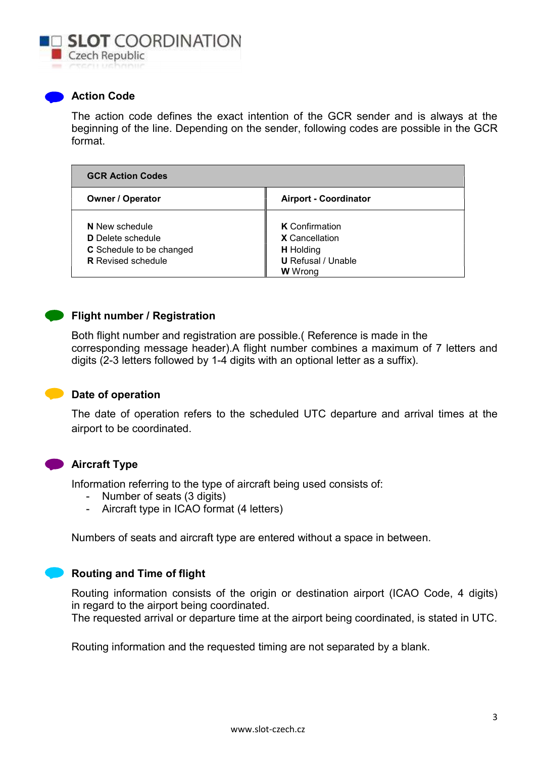

#### **Action Code**

The action code defines the exact intention of the GCR sender and is always at the beginning of the line. Depending on the sender, following codes are possible in the GCR format.

| <b>GCR Action Codes</b>                                                                                    |                                                                                                                   |  |
|------------------------------------------------------------------------------------------------------------|-------------------------------------------------------------------------------------------------------------------|--|
| <b>Owner / Operator</b>                                                                                    | <b>Airport - Coordinator</b>                                                                                      |  |
| N New schedule<br><b>D</b> Delete schedule<br><b>C</b> Schedule to be changed<br><b>R</b> Revised schedule | <b>K</b> Confirmation<br><b>X</b> Cancellation<br><b>H</b> Holding<br><b>U</b> Refusal / Unable<br><b>W</b> Wrong |  |

## **Flight number / Registration**

Both flight number and registration are possible.( Reference is made in the corresponding message header).A flight number combines a maximum of 7 letters and digits (2-3 letters followed by 1-4 digits with an optional letter as a suffix).



#### Date of operation

The date of operation refers to the scheduled UTC departure and arrival times at the airport to be coordinated.



#### **Aircraft Type**

Information referring to the type of aircraft being used consists of:

- Number of seats (3 digits)
- Aircraft type in ICAO format (4 letters)

Numbers of seats and aircraft type are entered without a space in between.

#### Routing and Time of flight

Routing information consists of the origin or destination airport (ICAO Code, 4 digits) in regard to the airport being coordinated.

The requested arrival or departure time at the airport being coordinated, is stated in UTC.

Routing information and the requested timing are not separated by a blank.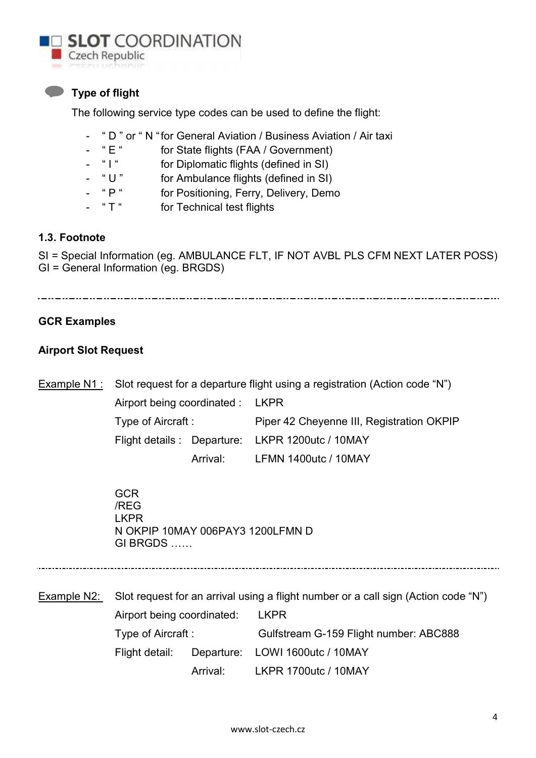

## **Type of flight**

The following service type codes can be used to define the flight:

- " D " or " N "for General Aviation / Business Aviation / Air taxi
- " E " for State flights (FAA / Government)
- "I" for Diplomatic flights (defined in SI)
- " U " for Ambulance flights (defined in SI)
- " P " for Positioning, Ferry, Delivery, Demo
- " T " for Technical test flights

## 1.3. Footnote

SI = Special Information (eg. AMBULANCE FLT, IF NOT AVBL PLS CFM NEXT LATER POSS) GI = General Information (eg. BRGDS)

## GCR Examples

## Airport Slot Request

Example N1 : Slot request for a departure flight using a registration (Action code "N") Airport being coordinated : LKPR Type of Aircraft : Piper 42 Cheyenne III, Registration OKPIP Flight details : Departure: LKPR 1200utc / 10MAY Arrival: LFMN 1400utc / 10MAY

> **GCR**  /REG LKPR N OKPIP 10MAY 006PAY3 1200LFMN D GI BRGDS ……

Example N2: Slot request for an arrival using a flight number or a call sign (Action code "N") Airport being coordinated: LKPR Type of Aircraft : Gulfstream G-159 Flight number: ABC888 Flight detail: Departure: LOWI 1600utc / 10MAY Arrival: LKPR 1700utc / 10MAY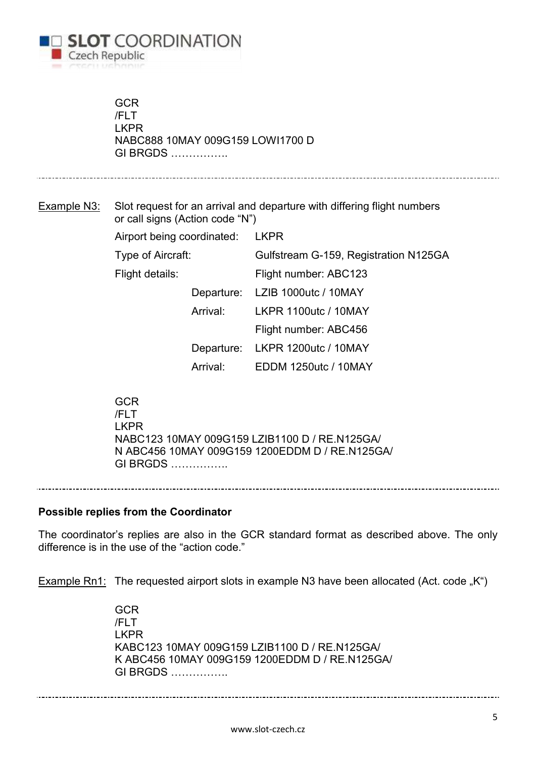

**GCR**  /FLT LKPR NABC888 10MAY 009G159 LOWI1700 D GI BRGDS …………….

Example N3: Slot request for an arrival and departure with differing flight numbers or call signs (Action code "N")

| Airport being coordinated: |          | LKPR                                  |
|----------------------------|----------|---------------------------------------|
| Type of Aircraft:          |          | Gulfstream G-159, Registration N125GA |
| Flight details:            |          | Flight number: ABC123                 |
|                            |          | Departure: LZIB 1000utc / 10MAY       |
|                            | Arrival: | <b>LKPR 1100utc / 10MAY</b>           |
|                            |          | Flight number: ABC456                 |
|                            |          | Departure: LKPR 1200utc / 10MAY       |
|                            | Arrival: | <b>EDDM 1250utc / 10MAY</b>           |
|                            |          |                                       |

 GCR /FLT LKPR NABC123 10MAY 009G159 LZIB1100 D / RE.N125GA/ N ABC456 10MAY 009G159 1200EDDM D / RE.N125GA/ GI BRGDS …………….

Possible replies from the Coordinator

The coordinator's replies are also in the GCR standard format as described above. The only difference is in the use of the "action code."

Example Rn1: The requested airport slots in example N3 have been allocated (Act. code "K")

 GCR /FLT LKPR KABC123 10MAY 009G159 LZIB1100 D / RE.N125GA/ K ABC456 10MAY 009G159 1200EDDM D / RE.N125GA/ GI BRGDS …………….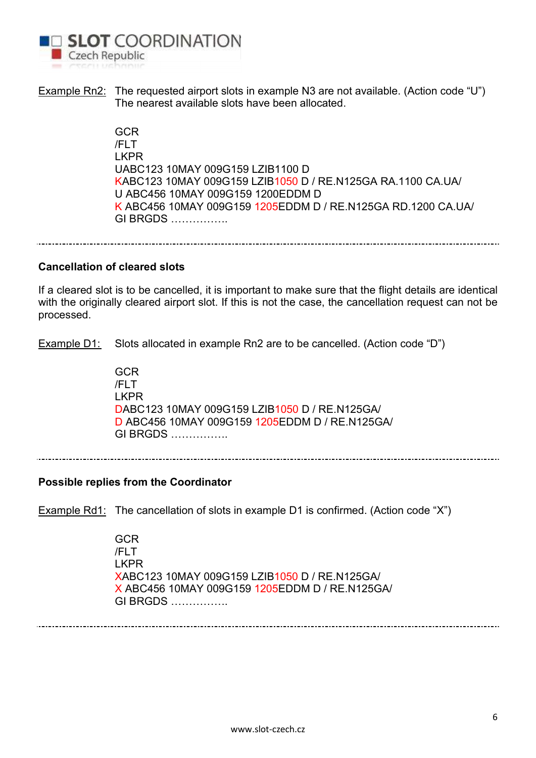

Example Rn2: The requested airport slots in example N3 are not available. (Action code "U") The nearest available slots have been allocated.

> GCR /FLT LKPR UABC123 10MAY 009G159 LZIB1100 D KABC123 10MAY 009G159 LZIB1050 D / RE.N125GA RA.1100 CA.UA/ U ABC456 10MAY 009G159 1200EDDM D K ABC456 10MAY 009G159 1205EDDM D / RE.N125GA RD.1200 CA.UA/ GI BRGDS …………….

#### Cancellation of cleared slots

If a cleared slot is to be cancelled, it is important to make sure that the flight details are identical with the originally cleared airport slot. If this is not the case, the cancellation request can not be processed.

Example D1: Slots allocated in example Rn2 are to be cancelled. (Action code "D")

 GCR /FLT LKPR DABC123 10MAY 009G159 LZIB1050 D / RE.N125GA/ D ABC456 10MAY 009G159 1205EDDM D / RE.N125GA/ GI BRGDS …………….

#### Possible replies from the Coordinator

Example Rd1: The cancellation of slots in example D1 is confirmed. (Action code "X")

 GCR /FLT LKPR XABC123 10MAY 009G159 LZIB1050 D / RE.N125GA/ X ABC456 10MAY 009G159 1205EDDM D / RE.N125GA/ GI BRGDS …………….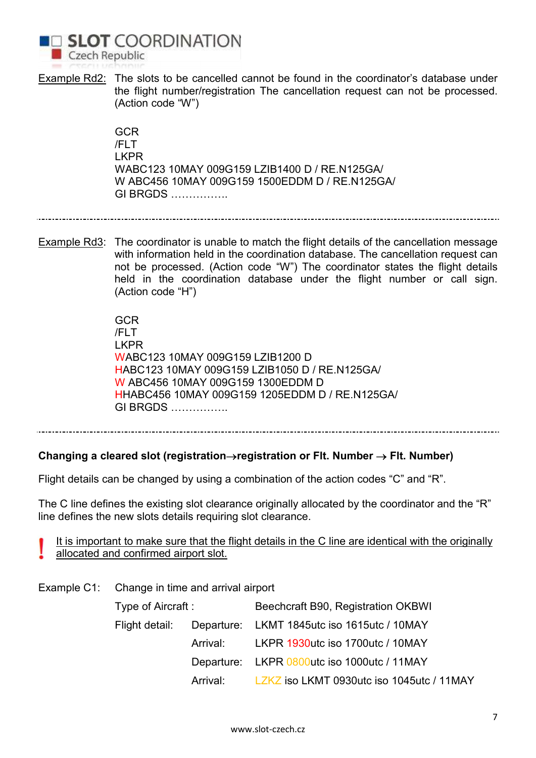

Example Rd2: The slots to be cancelled cannot be found in the coordinator's database under the flight number/registration The cancellation request can not be processed. (Action code "W")

> GCR /FLT LKPR WABC123 10MAY 009G159 LZIB1400 D / RE.N125GA/ W ABC456 10MAY 009G159 1500EDDM D / RE.N125GA/ GI BRGDS …………….

Example Rd3: The coordinator is unable to match the flight details of the cancellation message with information held in the coordination database. The cancellation request can not be processed. (Action code "W") The coordinator states the flight details held in the coordination database under the flight number or call sign. (Action code "H")

> **GCR**  /FLT LKPR WABC123 10MAY 009G159 LZIB1200 D HABC123 10MAY 009G159 LZIB1050 D / RE.N125GA/ W ABC456 10MAY 009G159 1300EDDM D HHABC456 10MAY 009G159 1205EDDM D / RE.N125GA/ GI BRGDS …………….

## Changing a cleared slot (registration->registration or Flt. Number  $\rightarrow$  Flt. Number)

Flight details can be changed by using a combination of the action codes "C" and "R".

The C line defines the existing slot clearance originally allocated by the coordinator and the "R" line defines the new slots details requiring slot clearance.

It is important to make sure that the flight details in the C line are identical with the originally allocated and confirmed airport slot.

Example C1: Change in time and arrival airport

| Type of Aircraft : | Beechcraft B90, Registration OKBWI                         |
|--------------------|------------------------------------------------------------|
|                    | Flight detail: Departure: LKMT 1845utc iso 1615utc / 10MAY |
|                    | Arrival: LKPR 1930utc iso 1700utc / 10MAY                  |
|                    | Departure: LKPR 0800utc iso 1000utc / 11MAY                |
|                    | Arrival: LZKZ iso LKMT 0930utc iso 1045utc / 11MAY         |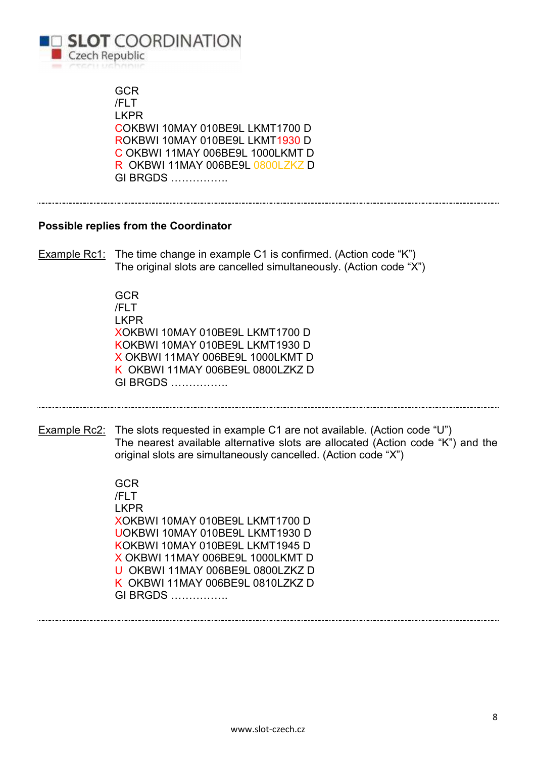

**GCR**  /FLT LKPR COKBWI 10MAY 010BE9L LKMT1700 D ROKBWI 10MAY 010BE9L LKMT1930 D C OKBWI 11MAY 006BE9L 1000LKMT D R OKBWI 11MAY 006BE9L 0800LZKZ D GI BRGDS ……………. Possible replies from the Coordinator Example Rc1: The time change in example C1 is confirmed. (Action code "K") The original slots are cancelled simultaneously. (Action code "X") **GCR**  /FLT LKPR XOKBWI 10MAY 010BE9L LKMT1700 D KOKBWI 10MAY 010BE9L LKMT1930 D X OKBWI 11MAY 006BE9L 1000LKMT D K OKBWI 11MAY 006BE9L 0800LZKZ D GI BRGDS ……………. Example Rc2: The slots requested in example C1 are not available. (Action code "U") The nearest available alternative slots are allocated (Action code "K") and the original slots are simultaneously cancelled. (Action code "X") **GCR**  /FLT LKPR XOKBWI 10MAY 010BE9L LKMT1700 D UOKBWI 10MAY 010BE9L LKMT1930 D KOKBWI 10MAY 010BE9L LKMT1945 D X OKBWI 11MAY 006BE9L 1000LKMT D U OKBWI 11MAY 006BE9L 0800LZKZ D K OKBWI 11MAY 006BE9L 0810LZKZ D GI BRGDS …………….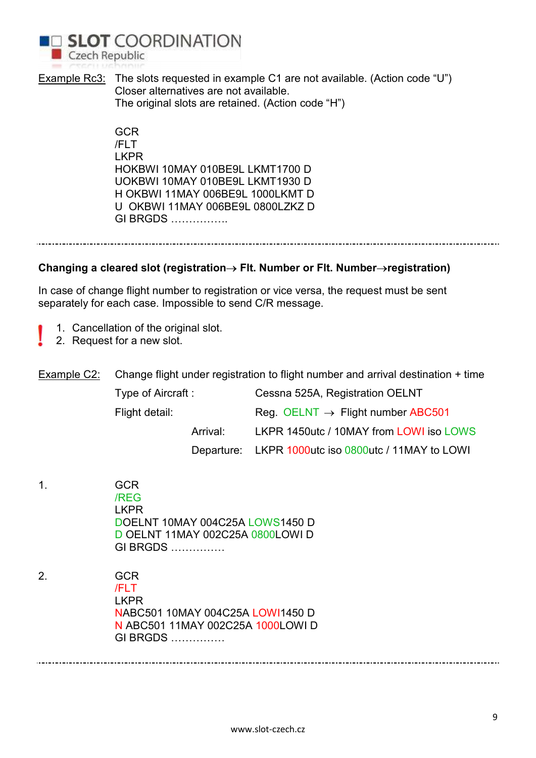

Example Rc3: The slots requested in example C1 are not available. (Action code "U") Closer alternatives are not available. The original slots are retained. (Action code "H")

> **GCR**  /FLT LKPR HOKBWI 10MAY 010BE9L LKMT1700 D UOKBWI 10MAY 010BE9L LKMT1930 D H OKBWI 11MAY 006BE9L 1000LKMT D U OKBWI 11MAY 006BE9L 0800LZKZ D GI BRGDS …………….

#### Changing a cleared slot (registration $\rightarrow$  Flt. Number or Flt. Number $\rightarrow$ registration)

In case of change flight number to registration or vice versa, the request must be sent separately for each case. Impossible to send C/R message.

- 1. Cancellation of the original slot.
- 2. Request for a new slot.

Example C2: Change flight under registration to flight number and arrival destination + time

|                | Type of Aircraft : | Cessna 525A, Registration OELNT                     |
|----------------|--------------------|-----------------------------------------------------|
| Flight detail: |                    | Reg. OELNT $\rightarrow$ Flight number ABC501       |
|                | Arrival:           | LKPR 1450utc / 10MAY from LOWI iso LOWS             |
|                |                    | Departure: LKPR 1000utc iso 0800utc / 11MAY to LOWI |

1. GCR /REG LKPR DOELNT 10MAY 004C25A LOWS1450 D D OELNT 11MAY 002C25A 0800LOWI D GI BRGDS ……………

2. GCR /FLT LKPR NABC501 10MAY 004C25A LOWI1450 D N ABC501 11MAY 002C25A 1000LOWI D GI BRGDS ……………